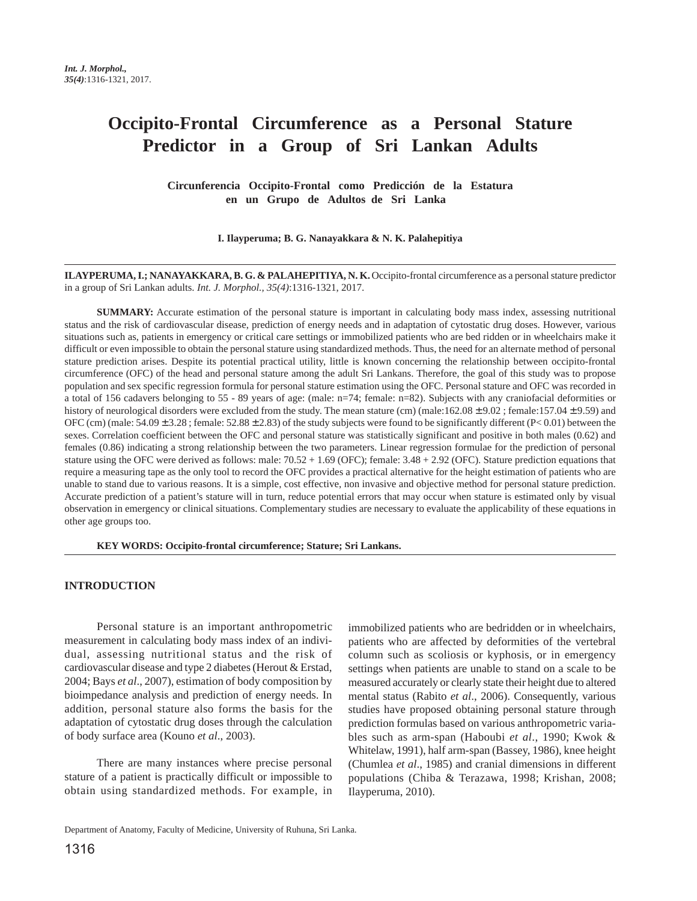# **Occipito-Frontal Circumference as a Personal Stature Predictor in a Group of Sri Lankan Adults**

**Circunferencia Occipito-Frontal como Predicción de la Estatura en un Grupo de Adultos de Sri Lanka**

**I. Ilayperuma; B. G. Nanayakkara & N. K. Palahepitiya**

**ILAYPERUMA, I.; NANAYAKKARA, B. G. & PALAHEPITIYA, N. K.** Occipito-frontal circumference as a personal stature predictor in a group of Sri Lankan adults. *Int. J. Morphol., 35(4)*:1316-1321, 2017.

**SUMMARY:** Accurate estimation of the personal stature is important in calculating body mass index, assessing nutritional status and the risk of cardiovascular disease, prediction of energy needs and in adaptation of cytostatic drug doses. However, various situations such as, patients in emergency or critical care settings or immobilized patients who are bed ridden or in wheelchairs make it difficult or even impossible to obtain the personal stature using standardized methods. Thus, the need for an alternate method of personal stature prediction arises. Despite its potential practical utility, little is known concerning the relationship between occipito-frontal circumference (OFC) of the head and personal stature among the adult Sri Lankans. Therefore, the goal of this study was to propose population and sex specific regression formula for personal stature estimation using the OFC. Personal stature and OFC was recorded in a total of 156 cadavers belonging to 55 - 89 years of age: (male: n=74; female: n=82). Subjects with any craniofacial deformities or history of neurological disorders were excluded from the study. The mean stature (cm) (male:162.08  $\pm$  9.02; female:157.04  $\pm$  9.59) and OFC (cm) (male:  $54.09 \pm 3.28$ ; female:  $52.88 \pm 2.83$ ) of the study subjects were found to be significantly different (P< 0.01) between the sexes. Correlation coefficient between the OFC and personal stature was statistically significant and positive in both males (0.62) and females (0.86) indicating a strong relationship between the two parameters. Linear regression formulae for the prediction of personal stature using the OFC were derived as follows: male: 70.52 + 1.69 (OFC); female: 3.48 + 2.92 (OFC). Stature prediction equations that require a measuring tape as the only tool to record the OFC provides a practical alternative for the height estimation of patients who are unable to stand due to various reasons. It is a simple, cost effective, non invasive and objective method for personal stature prediction. Accurate prediction of a patient's stature will in turn, reduce potential errors that may occur when stature is estimated only by visual observation in emergency or clinical situations. Complementary studies are necessary to evaluate the applicability of these equations in other age groups too.

**KEY WORDS: Occipito-frontal circumference; Stature; Sri Lankans.**

## **INTRODUCTION**

Personal stature is an important anthropometric measurement in calculating body mass index of an individual, assessing nutritional status and the risk of cardiovascular disease and type 2 diabetes (Herout & Erstad, 2004; Bays *et al*., 2007), estimation of body composition by bioimpedance analysis and prediction of energy needs. In addition, personal stature also forms the basis for the adaptation of cytostatic drug doses through the calculation of body surface area (Kouno *et al*., 2003).

There are many instances where precise personal stature of a patient is practically difficult or impossible to obtain using standardized methods. For example, in

immobilized patients who are bedridden or in wheelchairs, patients who are affected by deformities of the vertebral column such as scoliosis or kyphosis, or in emergency settings when patients are unable to stand on a scale to be measured accurately or clearly state their height due to altered mental status (Rabito *et al*., 2006). Consequently, various studies have proposed obtaining personal stature through prediction formulas based on various anthropometric variables such as arm-span (Haboubi *et al*., 1990; Kwok & Whitelaw, 1991), half arm-span (Bassey, 1986), knee height (Chumlea *et al*., 1985) and cranial dimensions in different populations (Chiba & Terazawa, 1998; Krishan, 2008; Ilayperuma, 2010).

Department of Anatomy, Faculty of Medicine, University of Ruhuna, Sri Lanka.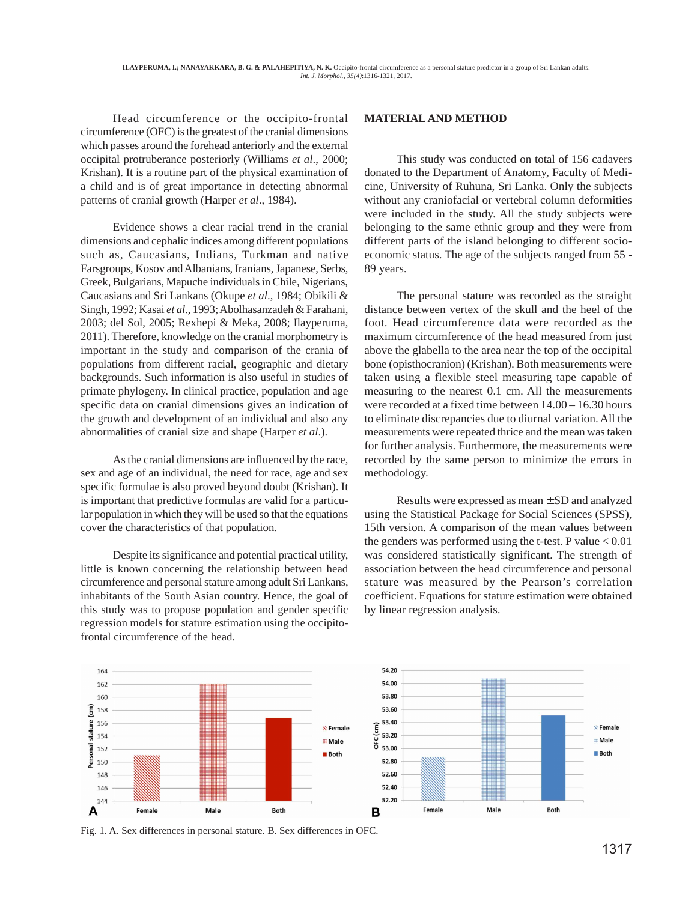Head circumference or the occipito-frontal circumference (OFC) is the greatest of the cranial dimensions which passes around the forehead anteriorly and the external occipital protruberance posteriorly (Williams *et al*., 2000; Krishan). It is a routine part of the physical examination of a child and is of great importance in detecting abnormal patterns of cranial growth (Harper *et al*., 1984).

Evidence shows a clear racial trend in the cranial dimensions and cephalic indices among different populations such as, Caucasians, Indians, Turkman and native Farsgroups, Kosov and Albanians, Iranians, Japanese, Serbs, Greek, Bulgarians, Mapuche individuals in Chile, Nigerians, Caucasians and Sri Lankans (Okupe *et al*., 1984; Obikili & Singh, 1992; Kasai *et al*., 1993; Abolhasanzadeh & Farahani, 2003; del Sol, 2005; Rexhepi & Meka, 2008; Ilayperuma, 2011). Therefore, knowledge on the cranial morphometry is important in the study and comparison of the crania of populations from different racial, geographic and dietary backgrounds. Such information is also useful in studies of primate phylogeny. In clinical practice, population and age specific data on cranial dimensions gives an indication of the growth and development of an individual and also any abnormalities of cranial size and shape (Harper *et al*.).

As the cranial dimensions are influenced by the race, sex and age of an individual, the need for race, age and sex specific formulae is also proved beyond doubt (Krishan). It is important that predictive formulas are valid for a particular population in which they will be used so that the equations cover the characteristics of that population.

Despite its significance and potential practical utility, little is known concerning the relationship between head circumference and personal stature among adult Sri Lankans, inhabitants of the South Asian country. Hence, the goal of this study was to propose population and gender specific regression models for stature estimation using the occipitofrontal circumference of the head.

### **MATERIAL AND METHOD**

This study was conducted on total of 156 cadavers donated to the Department of Anatomy, Faculty of Medicine, University of Ruhuna, Sri Lanka. Only the subjects without any craniofacial or vertebral column deformities were included in the study. All the study subjects were belonging to the same ethnic group and they were from different parts of the island belonging to different socioeconomic status. The age of the subjects ranged from 55 - 89 years.

The personal stature was recorded as the straight distance between vertex of the skull and the heel of the foot. Head circumference data were recorded as the maximum circumference of the head measured from just above the glabella to the area near the top of the occipital bone (opisthocranion) (Krishan). Both measurements were taken using a flexible steel measuring tape capable of measuring to the nearest 0.1 cm. All the measurements were recorded at a fixed time between 14.00 – 16.30 hours to eliminate discrepancies due to diurnal variation. All the measurements were repeated thrice and the mean was taken for further analysis. Furthermore, the measurements were recorded by the same person to minimize the errors in methodology.

Results were expressed as mean ± SD and analyzed using the Statistical Package for Social Sciences (SPSS), 15th version. A comparison of the mean values between the genders was performed using the t-test. P value  $< 0.01$ was considered statistically significant. The strength of association between the head circumference and personal stature was measured by the Pearson's correlation coefficient. Equations for stature estimation were obtained by linear regression analysis.



Fig. 1. A. Sex differences in personal stature. B. Sex differences in OFC.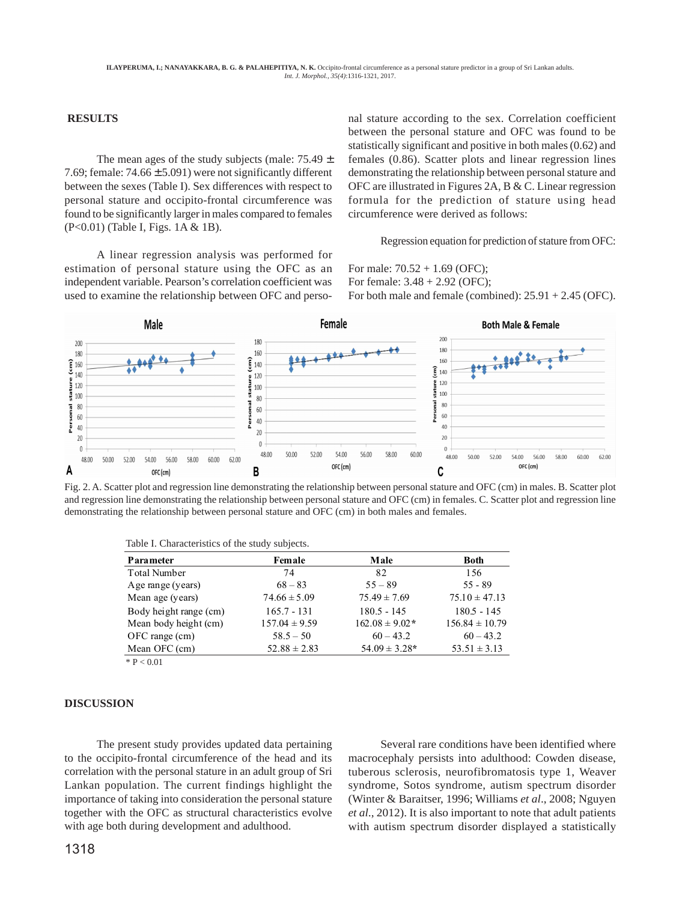## **RESULTS**

The mean ages of the study subjects (male:  $75.49 \pm$ 7.69; female:  $74.66 \pm 5.091$ ) were not significantly different between the sexes (Table I). Sex differences with respect to personal stature and occipito-frontal circumference was found to be significantly larger in males compared to females (P<0.01) (Table I, Figs. 1A & 1B).

A linear regression analysis was performed for estimation of personal stature using the OFC as an independent variable. Pearson's correlation coefficient was used to examine the relationship between OFC and personal stature according to the sex. Correlation coefficient between the personal stature and OFC was found to be statistically significant and positive in both males (0.62) and females (0.86). Scatter plots and linear regression lines demonstrating the relationship between personal stature and OFC are illustrated in Figures 2A, B & C. Linear regression formula for the prediction of stature using head circumference were derived as follows:

Regression equation for prediction of stature from OFC:

For male: 70.52 + 1.69 (OFC); For female: 3.48 + 2.92 (OFC); For both male and female (combined): 25.91 + 2.45 (OFC).



Fig. 2. A. Scatter plot and regression line demonstrating the relationship between personal stature and OFC (cm) in males. B. Scatter plot and regression line demonstrating the relationship between personal stature and OFC (cm) in females. C. Scatter plot and regression line demonstrating the relationship between personal stature and OFC (cm) in both males and females.

Table I. Characteristics of the study subjects.

| Parameter              | Female            | Male               | <b>Both</b>        |
|------------------------|-------------------|--------------------|--------------------|
| <b>Total Number</b>    | 74                | 82                 | 156                |
| Age range (years)      | $68 - 83$         | $55 - 89$          | $55 - 89$          |
| Mean age (years)       | $74.66 \pm 5.09$  | $75.49 \pm 7.69$   | $75.10 \pm 47.13$  |
| Body height range (cm) | $165.7 - 131$     | $180.5 - 145$      | $180.5 - 145$      |
| Mean body height (cm)  | $157.04 \pm 9.59$ | $162.08 \pm 9.02*$ | $156.84 \pm 10.79$ |
| $OFC$ range $(cm)$     | $58.5 - 50$       | $60 - 43.2$        | $60 - 43.2$        |
| Mean OFC (cm)          | $52.88 \pm 2.83$  | $54.09 \pm 3.28*$  | $53.51 \pm 3.13$   |
|                        |                   |                    |                    |

 $*$  P < 0.01

## **DISCUSSION**

The present study provides updated data pertaining to the occipito-frontal circumference of the head and its correlation with the personal stature in an adult group of Sri Lankan population. The current findings highlight the importance of taking into consideration the personal stature together with the OFC as structural characteristics evolve with age both during development and adulthood.

Several rare conditions have been identified where macrocephaly persists into adulthood: Cowden disease, tuberous sclerosis, neurofibromatosis type 1, Weaver syndrome, Sotos syndrome, autism spectrum disorder (Winter & Baraitser, 1996; Williams *et al*., 2008; Nguyen *et al*., 2012). It is also important to note that adult patients with autism spectrum disorder displayed a statistically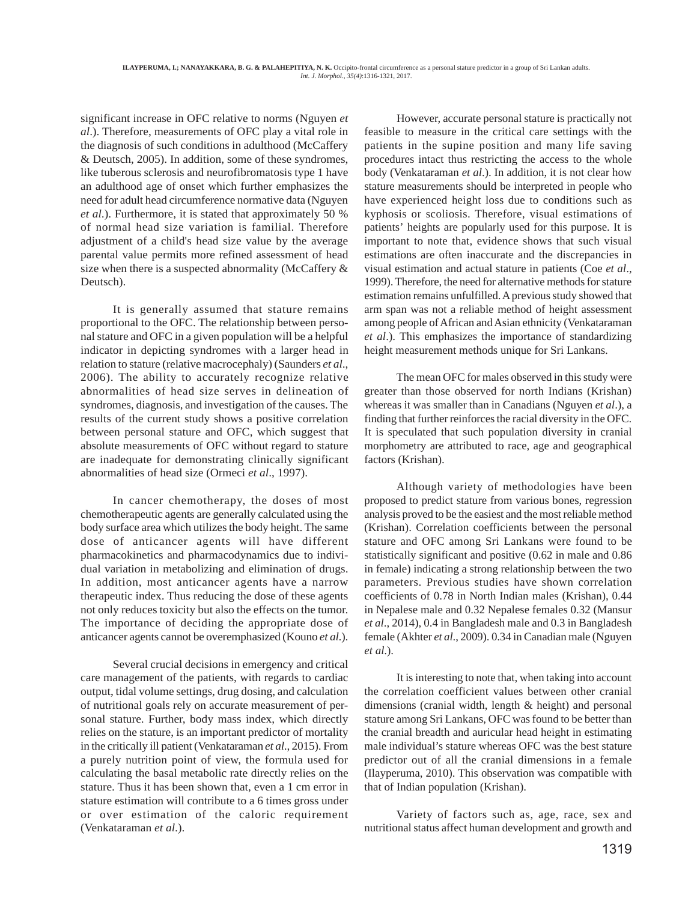significant increase in OFC relative to norms (Nguyen *et al*.). Therefore, measurements of OFC play a vital role in the diagnosis of such conditions in adulthood (McCaffery & Deutsch, 2005). In addition, some of these syndromes, like tuberous sclerosis and neurofibromatosis type 1 have an adulthood age of onset which further emphasizes the need for adult head circumference normative data (Nguyen *et al*.). Furthermore, it is stated that approximately 50 % of normal head size variation is familial. Therefore adjustment of a child's head size value by the average parental value permits more refined assessment of head size when there is a suspected abnormality (McCaffery & Deutsch).

It is generally assumed that stature remains proportional to the OFC. The relationship between personal stature and OFC in a given population will be a helpful indicator in depicting syndromes with a larger head in relation to stature (relative macrocephaly) (Saunders *et al*., 2006). The ability to accurately recognize relative abnormalities of head size serves in delineation of syndromes, diagnosis, and investigation of the causes. The results of the current study shows a positive correlation between personal stature and OFC, which suggest that absolute measurements of OFC without regard to stature are inadequate for demonstrating clinically significant abnormalities of head size (Ormeci *et al*., 1997).

In cancer chemotherapy, the doses of most chemotherapeutic agents are generally calculated using the body surface area which utilizes the body height. The same dose of anticancer agents will have different pharmacokinetics and pharmacodynamics due to individual variation in metabolizing and elimination of drugs. In addition, most anticancer agents have a narrow therapeutic index. Thus reducing the dose of these agents not only reduces toxicity but also the effects on the tumor. The importance of deciding the appropriate dose of anticancer agents cannot be overemphasized (Kouno *et al*.).

Several crucial decisions in emergency and critical care management of the patients, with regards to cardiac output, tidal volume settings, drug dosing, and calculation of nutritional goals rely on accurate measurement of personal stature. Further, body mass index, which directly relies on the stature, is an important predictor of mortality in the critically ill patient (Venkataraman *et al*., 2015). From a purely nutrition point of view, the formula used for calculating the basal metabolic rate directly relies on the stature. Thus it has been shown that, even a 1 cm error in stature estimation will contribute to a 6 times gross under or over estimation of the caloric requirement (Venkataraman *et al*.).

However, accurate personal stature is practically not feasible to measure in the critical care settings with the patients in the supine position and many life saving procedures intact thus restricting the access to the whole body (Venkataraman *et al*.). In addition, it is not clear how stature measurements should be interpreted in people who have experienced height loss due to conditions such as kyphosis or scoliosis. Therefore, visual estimations of patients' heights are popularly used for this purpose. It is important to note that, evidence shows that such visual estimations are often inaccurate and the discrepancies in visual estimation and actual stature in patients (Coe *et al*., 1999). Therefore, the need for alternative methods for stature estimation remains unfulfilled. A previous study showed that arm span was not a reliable method of height assessment among people of African and Asian ethnicity (Venkataraman *et al*.). This emphasizes the importance of standardizing height measurement methods unique for Sri Lankans.

The mean OFC for males observed in this study were greater than those observed for north Indians (Krishan) whereas it was smaller than in Canadians (Nguyen *et al*.), a finding that further reinforces the racial diversity in the OFC. It is speculated that such population diversity in cranial morphometry are attributed to race, age and geographical factors (Krishan).

Although variety of methodologies have been proposed to predict stature from various bones, regression analysis proved to be the easiest and the most reliable method (Krishan). Correlation coefficients between the personal stature and OFC among Sri Lankans were found to be statistically significant and positive (0.62 in male and 0.86 in female) indicating a strong relationship between the two parameters. Previous studies have shown correlation coefficients of 0.78 in North Indian males (Krishan), 0.44 in Nepalese male and 0.32 Nepalese females 0.32 (Mansur *et al*., 2014), 0.4 in Bangladesh male and 0.3 in Bangladesh female (Akhter *et al*., 2009). 0.34 in Canadian male (Nguyen *et al*.).

It is interesting to note that, when taking into account the correlation coefficient values between other cranial dimensions (cranial width, length & height) and personal stature among Sri Lankans, OFC was found to be better than the cranial breadth and auricular head height in estimating male individual's stature whereas OFC was the best stature predictor out of all the cranial dimensions in a female (Ilayperuma, 2010). This observation was compatible with that of Indian population (Krishan).

Variety of factors such as, age, race, sex and nutritional status affect human development and growth and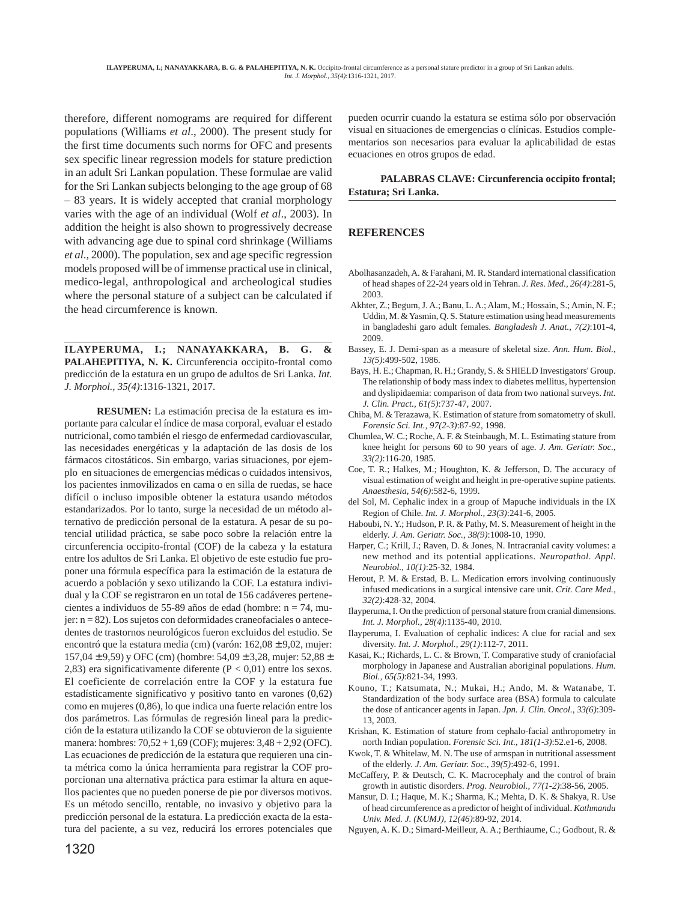therefore, different nomograms are required for different populations (Williams *et al*., 2000). The present study for the first time documents such norms for OFC and presents sex specific linear regression models for stature prediction in an adult Sri Lankan population. These formulae are valid for the Sri Lankan subjects belonging to the age group of 68 – 83 years. It is widely accepted that cranial morphology varies with the age of an individual (Wolf *et al*., 2003). In addition the height is also shown to progressively decrease with advancing age due to spinal cord shrinkage (Williams *et al*., 2000). The population, sex and age specific regression models proposed will be of immense practical use in clinical, medico-legal, anthropological and archeological studies where the personal stature of a subject can be calculated if the head circumference is known.

**ILAYPERUMA, I.; NANAYAKKARA, B. G. & PALAHEPITIYA, N. K.** Circunferencia occipito-frontal como predicción de la estatura en un grupo de adultos de Sri Lanka. *Int. J. Morphol., 35(4)*:1316-1321, 2017.

**RESUMEN:** La estimación precisa de la estatura es importante para calcular el índice de masa corporal, evaluar el estado nutricional, como también el riesgo de enfermedad cardiovascular, las necesidades energéticas y la adaptación de las dosis de los fármacos citostáticos. Sin embargo, varias situaciones, por ejemplo en situaciones de emergencias médicas o cuidados intensivos, los pacientes inmovilizados en cama o en silla de ruedas, se hace difícil o incluso imposible obtener la estatura usando métodos estandarizados. Por lo tanto, surge la necesidad de un método alternativo de predicción personal de la estatura. A pesar de su potencial utilidad práctica, se sabe poco sobre la relación entre la circunferencia occipito-frontal (COF) de la cabeza y la estatura entre los adultos de Sri Lanka. El objetivo de este estudio fue proponer una fórmula específica para la estimación de la estatura de acuerdo a población y sexo utilizando la COF. La estatura individual y la COF se registraron en un total de 156 cadáveres pertenecientes a individuos de 55-89 años de edad (hombre: n = 74, mujer: n = 82). Los sujetos con deformidades craneofaciales o antecedentes de trastornos neurológicos fueron excluidos del estudio. Se encontró que la estatura media (cm) (varón: 162,08 ± 9,02, mujer: 157,04  $\pm$  9,59) y OFC (cm) (hombre: 54,09  $\pm$  3,28, mujer: 52,88  $\pm$ 2,83) era significativamente diferente ( $P < 0.01$ ) entre los sexos. El coeficiente de correlación entre la COF y la estatura fue estadísticamente significativo y positivo tanto en varones (0,62) como en mujeres (0,86), lo que indica una fuerte relación entre los dos parámetros. Las fórmulas de regresión lineal para la predicción de la estatura utilizando la COF se obtuvieron de la siguiente manera: hombres: 70,52 + 1,69 (COF); mujeres: 3,48 + 2,92 (OFC). Las ecuaciones de predicción de la estatura que requieren una cinta métrica como la única herramienta para registrar la COF proporcionan una alternativa práctica para estimar la altura en aquellos pacientes que no pueden ponerse de pie por diversos motivos. Es un método sencillo, rentable, no invasivo y objetivo para la predicción personal de la estatura. La predicción exacta de la estatura del paciente, a su vez, reducirá los errores potenciales que pueden ocurrir cuando la estatura se estima sólo por observación visual en situaciones de emergencias o clínicas. Estudios complementarios son necesarios para evaluar la aplicabilidad de estas ecuaciones en otros grupos de edad.

### **PALABRAS CLAVE: Circunferencia occipito frontal; Estatura; Sri Lanka.**

## **REFERENCES**

- Abolhasanzadeh, A. & Farahani, M. R. Standard international classification of head shapes of 22-24 years old in Tehran. *J. Res. Med., 26(4)*:281-5, 2003.
- Akhter, Z.; Begum, J. A.; Banu, L. A.; Alam, M.; Hossain, S.; Amin, N. F.; Uddin, M. & Yasmin, Q. S. Stature estimation using head measurements in bangladeshi garo adult females. *Bangladesh J. Anat., 7(2)*:101-4, 2009.
- Bassey, E. J. Demi-span as a measure of skeletal size. *Ann. Hum. Biol., 13(5)*:499-502, 1986.
- Bays, H. E.; Chapman, R. H.; Grandy, S. & SHIELD Investigators' Group. The relationship of body mass index to diabetes mellitus, hypertension and dyslipidaemia: comparison of data from two national surveys. *Int. J. Clin. Pract., 61(5)*:737-47, 2007.
- Chiba, M. & Terazawa, K. Estimation of stature from somatometry of skull. *Forensic Sci. Int., 97(2-3)*:87-92, 1998.
- Chumlea, W. C.; Roche, A. F. & Steinbaugh, M. L. Estimating stature from knee height for persons 60 to 90 years of age. *J. Am. Geriatr. Soc., 33(2)*:116-20, 1985.
- Coe, T. R.; Halkes, M.; Houghton, K. & Jefferson, D. The accuracy of visual estimation of weight and height in pre-operative supine patients. *Anaesthesia, 54(6)*:582-6, 1999.
- del Sol, M. Cephalic index in a group of Mapuche individuals in the IX Region of Chile. *Int. J. Morphol., 23(3)*:241-6, 2005.
- Haboubi, N. Y.; Hudson, P. R. & Pathy, M. S. Measurement of height in the elderly. *J. Am. Geriatr. Soc., 38(9)*:1008-10, 1990.
- Harper, C.; Krill, J.; Raven, D. & Jones, N. Intracranial cavity volumes: a new method and its potential applications. *Neuropathol. Appl. Neurobiol., 10(1)*:25-32, 1984.
- Herout, P. M. & Erstad, B. L. Medication errors involving continuously infused medications in a surgical intensive care unit. *Crit. Care Med., 32(2)*:428-32, 2004.
- Ilayperuma, I. On the prediction of personal stature from cranial dimensions. *Int. J. Morphol., 28(4)*:1135-40, 2010.
- Ilayperuma, I. Evaluation of cephalic indices: A clue for racial and sex diversity. *Int. J. Morphol., 29(1)*:112-7, 2011.
- Kasai, K.; Richards, L. C. & Brown, T. Comparative study of craniofacial morphology in Japanese and Australian aboriginal populations. *Hum. Biol., 65(5)*:821-34, 1993.
- Kouno, T.; Katsumata, N.; Mukai, H.; Ando, M. & Watanabe, T. Standardization of the body surface area (BSA) formula to calculate the dose of anticancer agents in Japan. *Jpn. J. Clin. Oncol., 33(6)*:309- 13, 2003.
- Krishan, K. Estimation of stature from cephalo-facial anthropometry in north Indian population. *Forensic Sci. Int., 181(1-3)*:52.e1-6, 2008.
- Kwok, T. & Whitelaw, M. N. The use of armspan in nutritional assessment of the elderly. *J. Am. Geriatr. Soc., 39(5)*:492-6, 1991.
- McCaffery, P. & Deutsch, C. K. Macrocephaly and the control of brain growth in autistic disorders. *Prog. Neurobiol., 77(1-2)*:38-56, 2005.
- Mansur, D. I.; Haque, M. K.; Sharma, K.; Mehta, D. K. & Shakya, R. Use of head circumference as a predictor of height of individual. *Kathmandu Univ. Med. J. (KUMJ), 12(46)*:89-92, 2014.
- Nguyen, A. K. D.; Simard-Meilleur, A. A.; Berthiaume, C.; Godbout, R. &